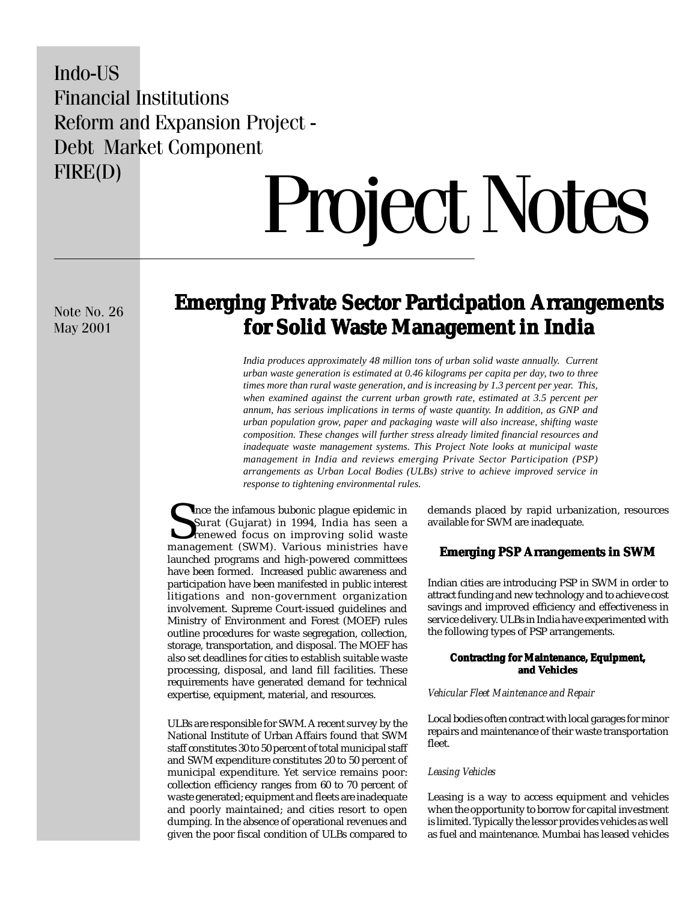# Indo-US Financial Institutions Reform and Expansion Project - Debt Market Component FIRE(D)

# Project Notes

Note No. 26 May 2001

# **Emerging Private Sector Participation Arrangements Emerging Private Sector Participation Arrangements for Solid Waste Management in India aste Management in India**

*India produces approximately 48 million tons of urban solid waste annually. Current urban waste generation is estimated at 0.46 kilograms per capita per day, two to three times more than rural waste generation, and is increasing by 1.3 percent per year. This, when examined against the current urban growth rate, estimated at 3.5 percent per annum, has serious implications in terms of waste quantity. In addition, as GNP and urban population grow, paper and packaging waste will also increase, shifting waste composition. These changes will further stress already limited financial resources and inadequate waste management systems. This Project Note looks at municipal waste management in India and reviews emerging Private Sector Participation (PSP) arrangements as Urban Local Bodies (ULBs) strive to achieve improved service in response to tightening environmental rules.*

Ince the infamous bubonic plague epidemic in Surat (Gujarat) in 1994, India has seen a renewed focus on improving solid waste management (SWM). Various ministries have launched programs and high-powered committees have been formed. Increased public awareness and participation have been manifested in public interest litigations and non-government organization involvement. Supreme Court-issued guidelines and Ministry of Environment and Forest (MOEF) rules outline procedures for waste segregation, collection, storage, transportation, and disposal. The MOEF has also set deadlines for cities to establish suitable waste processing, disposal, and land fill facilities. These requirements have generated demand for technical expertise, equipment, material, and resources.

ULBs are responsible for SWM. A recent survey by the National Institute of Urban Affairs found that SWM staff constitutes 30 to 50 percent of total municipal staff and SWM expenditure constitutes 20 to 50 percent of municipal expenditure. Yet service remains poor: collection efficiency ranges from 60 to 70 percent of waste generated; equipment and fleets are inadequate and poorly maintained; and cities resort to open dumping. In the absence of operational revenues and given the poor fiscal condition of ULBs compared to

demands placed by rapid urbanization, resources available for SWM are inadequate.

# **Emerging PSP Arrangements in SWM**

Indian cities are introducing PSP in SWM in order to attract funding and new technology and to achieve cost savings and improved efficiency and effectiveness in service delivery. ULBs in India have experimented with the following types of PSP arrangements.

## **Contracting for Maintenance, Equipment, and Vehicles**

#### *Vehicular Fleet Maintenance and Repair*

Local bodies often contract with local garages for minor repairs and maintenance of their waste transportation fleet.

# *Leasing Vehicles*

Leasing is a way to access equipment and vehicles when the opportunity to borrow for capital investment is limited. Typically the lessor provides vehicles as well as fuel and maintenance. Mumbai has leased vehicles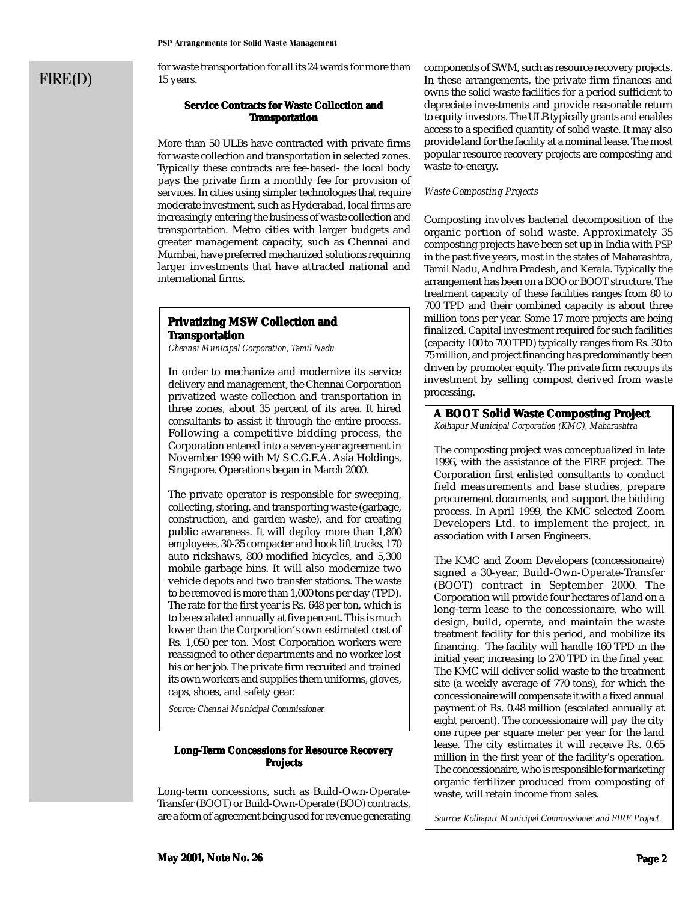# FIRE(D)

for waste transportation for all its 24 wards for more than 15 years.

# **Service Contracts for Waste Collection and Transportation**

More than 50 ULBs have contracted with private firms for waste collection and transportation in selected zones. Typically these contracts are fee-based- the local body pays the private firm a monthly fee for provision of services. In cities using simpler technologies that require moderate investment, such as Hyderabad, local firms are increasingly entering the business of waste collection and transportation. Metro cities with larger budgets and greater management capacity, such as Chennai and Mumbai, have preferred mechanized solutions requiring larger investments that have attracted national and international firms.

# **Privatizing MSW Collection and Transportation**

*Chennai Municipal Corporation, Tamil Nadu*

In order to mechanize and modernize its service delivery and management, the Chennai Corporation privatized waste collection and transportation in three zones, about 35 percent of its area. It hired consultants to assist it through the entire process. Following a competitive bidding process, the Corporation entered into a seven-year agreement in November 1999 with M/S C.G.E.A. Asia Holdings, Singapore. Operations began in March 2000.

The private operator is responsible for sweeping, collecting, storing, and transporting waste (garbage, construction, and garden waste), and for creating public awareness. It will deploy more than 1,800 employees, 30-35 compacter and hook lift trucks, 170 auto rickshaws, 800 modified bicycles, and 5,300 mobile garbage bins. It will also modernize two vehicle depots and two transfer stations. The waste to be removed is more than 1,000 tons per day (TPD). The rate for the first year is Rs. 648 per ton, which is to be escalated annually at five percent. This is much lower than the Corporation's own estimated cost of Rs. 1,050 per ton. Most Corporation workers were reassigned to other departments and no worker lost his or her job. The private firm recruited and trained its own workers and supplies them uniforms, gloves, caps, shoes, and safety gear.

*Source: Chennai Municipal Commissioner.*

#### **Long-Term Concessions for Resource Recovery Projects**

Long-term concessions, such as Build-Own-Operate-Transfer (BOOT) or Build-Own-Operate (BOO) contracts, are a form of agreement being used for revenue generating components of SWM, such as resource recovery projects. In these arrangements, the private firm finances and owns the solid waste facilities for a period sufficient to depreciate investments and provide reasonable return to equity investors. The ULB typically grants and enables access to a specified quantity of solid waste. It may also provide land for the facility at a nominal lease. The most popular resource recovery projects are composting and waste-to-energy.

#### *Waste Composting Projects*

Composting involves bacterial decomposition of the organic portion of solid waste. Approximately 35 composting projects have been set up in India with PSP in the past five years, most in the states of Maharashtra, Tamil Nadu, Andhra Pradesh, and Kerala. Typically the arrangement has been on a BOO or BOOT structure. The treatment capacity of these facilities ranges from 80 to 700 TPD and their combined capacity is about three million tons per year. Some 17 more projects are being finalized. Capital investment required for such facilities (capacity 100 to 700 TPD) typically ranges from Rs. 30 to 75 million, and project financing has predominantly been driven by promoter equity. The private firm recoups its investment by selling compost derived from waste processing.

# **A BOOT Solid Waste Composting Project aste Composting**

*Kolhapur Municipal Corporation (KMC), Maharashtra*

The composting project was conceptualized in late 1996, with the assistance of the FIRE project. The Corporation first enlisted consultants to conduct field measurements and base studies, prepare procurement documents, and support the bidding process. In April 1999, the KMC selected Zoom Developers Ltd. to implement the project, in association with Larsen Engineers.

The KMC and Zoom Developers (concessionaire) signed a 30-year, Build-Own-Operate-Transfer (BOOT) contract in September 2000. The Corporation will provide four hectares of land on a long-term lease to the concessionaire, who will design, build, operate, and maintain the waste treatment facility for this period, and mobilize its financing. The facility will handle 160 TPD in the initial year, increasing to 270 TPD in the final year. The KMC will deliver solid waste to the treatment site (a weekly average of 770 tons), for which the concessionaire will compensate it with a fixed annual payment of Rs. 0.48 million (escalated annually at eight percent). The concessionaire will pay the city one rupee per square meter per year for the land lease. The city estimates it will receive Rs. 0.65 million in the first year of the facility's operation. The concessionaire, who is responsible for marketing organic fertilizer produced from composting of waste, will retain income from sales.

*Source: Kolhapur Municipal Commissioner and FIRE Project.*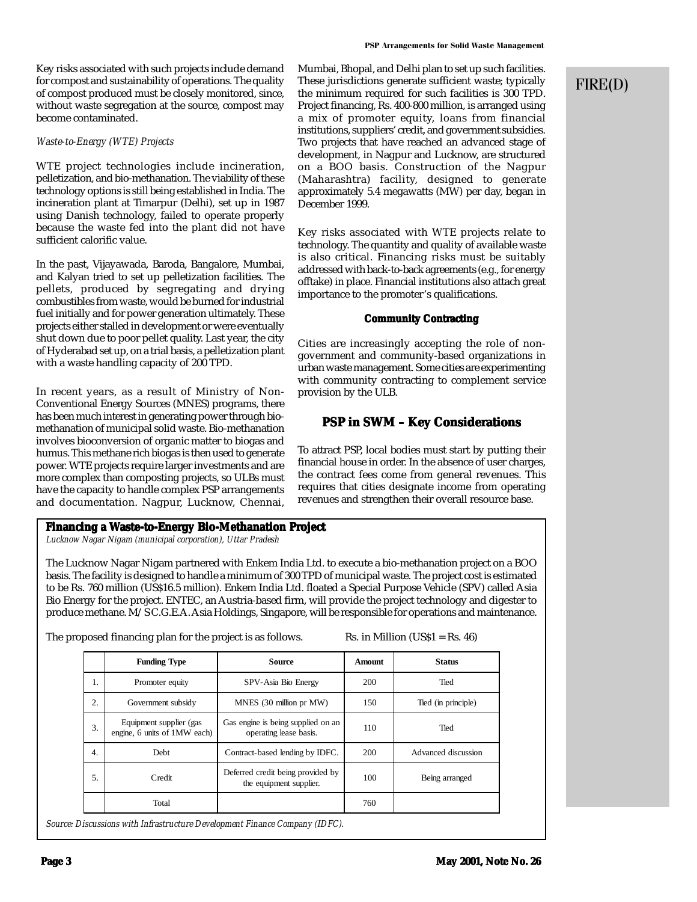Key risks associated with such projects include demand for compost and sustainability of operations. The quality of compost produced must be closely monitored, since, without waste segregation at the source, compost may become contaminated.

# *Waste-to-Energy (WTE) Projects*

WTE project technologies include incineration, pelletization, and bio-methanation. The viability of these technology options is still being established in India. The incineration plant at Timarpur (Delhi), set up in 1987 using Danish technology, failed to operate properly because the waste fed into the plant did not have sufficient calorific value.

In the past, Vijayawada, Baroda, Bangalore, Mumbai, and Kalyan tried to set up pelletization facilities. The pellets, produced by segregating and drying combustibles from waste, would be burned for industrial fuel initially and for power generation ultimately. These projects either stalled in development or were eventually shut down due to poor pellet quality. Last year, the city of Hyderabad set up, on a trial basis, a pelletization plant with a waste handling capacity of 200 TPD.

In recent years, as a result of Ministry of Non-Conventional Energy Sources (MNES) programs, there has been much interest in generating power through biomethanation of municipal solid waste. Bio-methanation involves bioconversion of organic matter to biogas and humus. This methane rich biogas is then used to generate power. WTE projects require larger investments and are more complex than composting projects, so ULBs must have the capacity to handle complex PSP arrangements and documentation. Nagpur, Lucknow, Chennai, Mumbai, Bhopal, and Delhi plan to set up such facilities. These jurisdictions generate sufficient waste; typically the minimum required for such facilities is 300 TPD. Project financing, Rs. 400-800 million, is arranged using a mix of promoter equity, loans from financial institutions, suppliers' credit, and government subsidies. Two projects that have reached an advanced stage of development, in Nagpur and Lucknow, are structured on a BOO basis. Construction of the Nagpur (Maharashtra) facility, designed to generate approximately 5.4 megawatts (MW) per day, began in December 1999.

Key risks associated with WTE projects relate to technology. The quantity and quality of available waste is also critical. Financing risks must be suitably addressed with back-to-back agreements (e.g., for energy offtake) in place. Financial institutions also attach great importance to the promoter's qualifications.

# **Community Contracting**

Cities are increasingly accepting the role of nongovernment and community-based organizations in urban waste management. Some cities are experimenting with community contracting to complement service provision by the ULB.

# **PSP in SWM – Key Considerations**

To attract PSP, local bodies must start by putting their financial house in order. In the absence of user charges, the contract fees come from general revenues. This requires that cities designate income from operating revenues and strengthen their overall resource base.

# **Financing a Waste-to-Energy Bio-Methanation Project aste-to-Energy**

*Lucknow Nagar Nigam (municipal corporation), Uttar Pradesh*

The Lucknow Nagar Nigam partnered with Enkem India Ltd. to execute a bio-methanation project on a BOO basis. The facility is designed to handle a minimum of 300 TPD of municipal waste. The project cost is estimated to be Rs. 760 million (US\$16.5 million). Enkem India Ltd. floated a Special Purpose Vehicle (SPV) called Asia Bio Energy for the project. ENTEC, an Austria-based firm, will provide the project technology and digester to produce methane. M/S C.G.E.A. Asia Holdings, Singapore, will be responsible for operations and maintenance.

The proposed financing plan for the project is as follows.Rs. in Million (US\$1 = Rs. 46)

|    | <b>Funding Type</b>                                     | Source                                                       | <b>Amount</b> | <b>Status</b>       |
|----|---------------------------------------------------------|--------------------------------------------------------------|---------------|---------------------|
| 1. | Promoter equity                                         | SPV-Asia Bio Energy                                          | 200           | Tied                |
| 2. | Government subsidy                                      | MNES (30 million pr MW)                                      | 150           | Tied (in principle) |
| 3. | Equipment supplier (gas<br>engine, 6 units of 1MW each) | Gas engine is being supplied on an<br>operating lease basis. | 110           | Tied                |
| 4. | <b>Debt</b>                                             | Contract-based lending by IDFC.                              | 200           | Advanced discussion |
| 5. | Credit                                                  | Deferred credit being provided by<br>the equipment supplier. | 100           | Being arranged      |
|    | Total                                                   |                                                              | 760           |                     |

*Source: Discussions with Infrastructure Development Finance Company (IDFC).*

# FIRE(D)